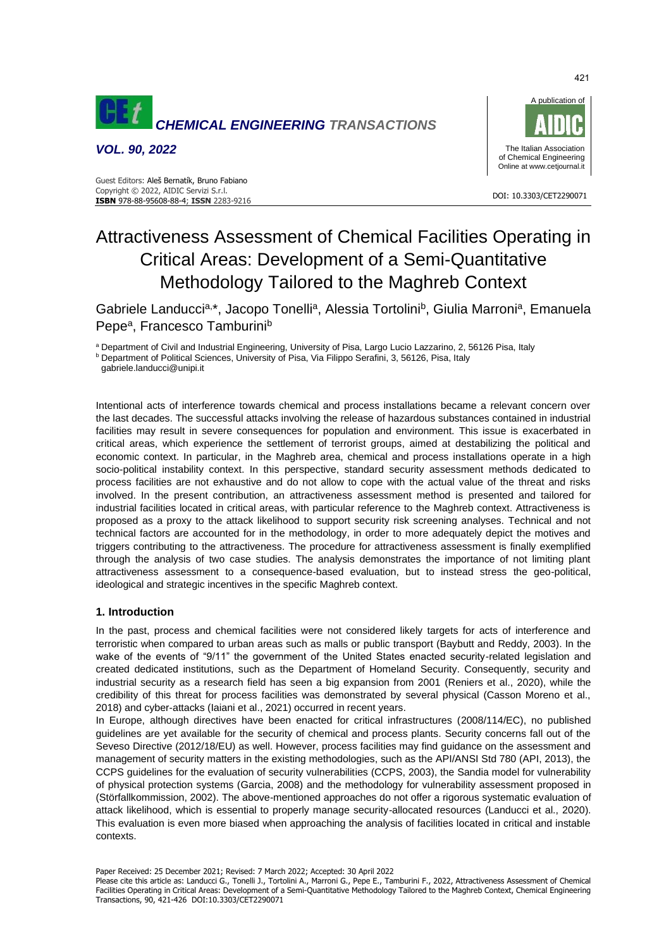

*VOL. 90, 2022*



# Attractiveness Assessment of Chemical Facilities Operating in Critical Areas: Development of a Semi-Quantitative Methodology Tailored to the Maghreb Context

Gabriele Landuccia,\*, Jacopo Tonellia, Alessia Tortolini<sup>b</sup>, Giulia Marronia, Emanuela Pepe<sup>a</sup>, Francesco Tamburini<sup>b</sup>

a Department of Civil and Industrial Engineering, University of Pisa, Largo Lucio Lazzarino, 2, 56126 Pisa, Italy

**b Department of Political Sciences, University of Pisa, Via Filippo Serafini, 3, 56126, Pisa, Italy** 

[gabriele.landucci@unipi.it](mailto:gabriele.landucci@unipi.it)

Intentional acts of interference towards chemical and process installations became a relevant concern over the last decades. The successful attacks involving the release of hazardous substances contained in industrial facilities may result in severe consequences for population and environment. This issue is exacerbated in critical areas, which experience the settlement of terrorist groups, aimed at destabilizing the political and economic context. In particular, in the Maghreb area, chemical and process installations operate in a high socio-political instability context. In this perspective, standard security assessment methods dedicated to process facilities are not exhaustive and do not allow to cope with the actual value of the threat and risks involved. In the present contribution, an attractiveness assessment method is presented and tailored for industrial facilities located in critical areas, with particular reference to the Maghreb context. Attractiveness is proposed as a proxy to the attack likelihood to support security risk screening analyses. Technical and not technical factors are accounted for in the methodology, in order to more adequately depict the motives and triggers contributing to the attractiveness. The procedure for attractiveness assessment is finally exemplified through the analysis of two case studies. The analysis demonstrates the importance of not limiting plant attractiveness assessment to a consequence-based evaluation, but to instead stress the geo-political, ideological and strategic incentives in the specific Maghreb context.

# **1. Introduction**

In the past, process and chemical facilities were not considered likely targets for acts of interference and terroristic when compared to urban areas such as malls or public transport (Baybutt and Reddy, 2003). In the wake of the events of "9/11" the government of the United States enacted security-related legislation and created dedicated institutions, such as the Department of Homeland Security. Consequently, security and industrial security as a research field has seen a big expansion from 2001 (Reniers et al., 2020), while the credibility of this threat for process facilities was demonstrated by several physical (Casson Moreno et al., 2018) and cyber-attacks (Iaiani et al., 2021) occurred in recent years.

In Europe, although directives have been enacted for critical infrastructures (2008/114/EC), no published guidelines are yet available for the security of chemical and process plants. Security concerns fall out of the Seveso Directive (2012/18/EU) as well. However, process facilities may find guidance on the assessment and management of security matters in the existing methodologies, such as the API/ANSI Std 780 (API, 2013), the CCPS guidelines for the evaluation of security vulnerabilities (CCPS, 2003), the Sandia model for vulnerability of physical protection systems (Garcia, 2008) and the methodology for vulnerability assessment proposed in (Störfallkommission, 2002). The above-mentioned approaches do not offer a rigorous systematic evaluation of attack likelihood, which is essential to properly manage security-allocated resources (Landucci et al., 2020). This evaluation is even more biased when approaching the analysis of facilities located in critical and instable contexts.

Paper Received: 25 December 2021; Revised: 7 March 2022; Accepted: 30 April 2022

Please cite this article as: Landucci G., Tonelli J., Tortolini A., Marroni G., Pepe E., Tamburini F., 2022, Attractiveness Assessment of Chemical Facilities Operating in Critical Areas: Development of a Semi-Quantitative Methodology Tailored to the Maghreb Context, Chemical Engineering Transactions, 90, 421-426 DOI:10.3303/CET2290071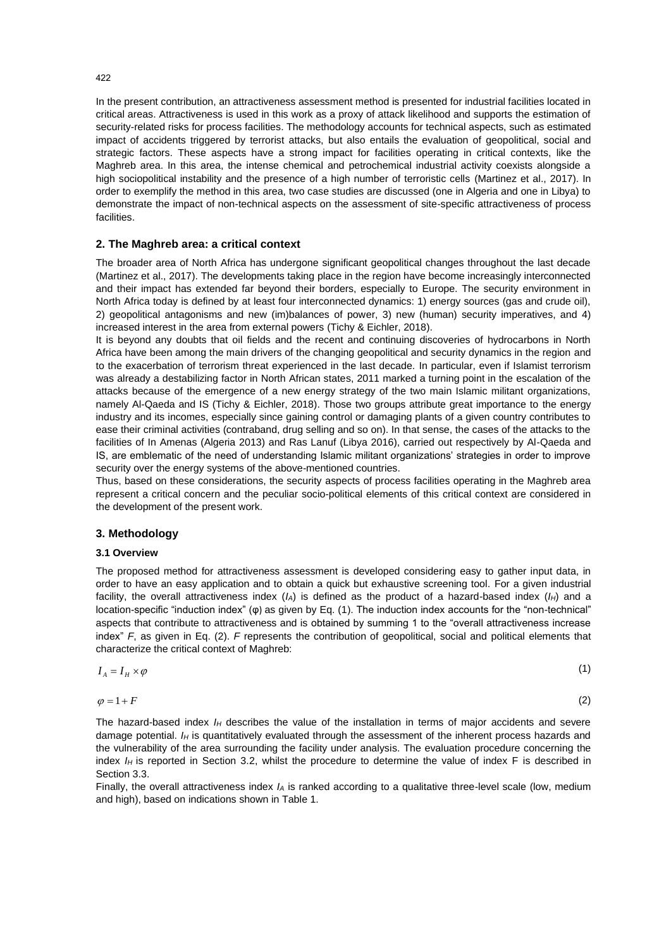In the present contribution, an attractiveness assessment method is presented for industrial facilities located in critical areas. Attractiveness is used in this work as a proxy of attack likelihood and supports the estimation of security-related risks for process facilities. The methodology accounts for technical aspects, such as estimated impact of accidents triggered by terrorist attacks, but also entails the evaluation of geopolitical, social and strategic factors. These aspects have a strong impact for facilities operating in critical contexts, like the Maghreb area. In this area, the intense chemical and petrochemical industrial activity coexists alongside a high sociopolitical instability and the presence of a high number of terroristic cells (Martinez et al., 2017). In order to exemplify the method in this area, two case studies are discussed (one in Algeria and one in Libya) to demonstrate the impact of non-technical aspects on the assessment of site-specific attractiveness of process facilities.

### **2. The Maghreb area: a critical context**

The broader area of North Africa has undergone significant geopolitical changes throughout the last decade (Martinez et al., 2017). The developments taking place in the region have become increasingly interconnected and their impact has extended far beyond their borders, especially to Europe. The security environment in North Africa today is defined by at least four interconnected dynamics: 1) energy sources (gas and crude oil), 2) geopolitical antagonisms and new (im)balances of power, 3) new (human) security imperatives, and 4) increased interest in the area from external powers (Tichy & Eichler, 2018).

It is beyond any doubts that oil fields and the recent and continuing discoveries of hydrocarbons in North Africa have been among the main drivers of the changing geopolitical and security dynamics in the region and to the exacerbation of terrorism threat experienced in the last decade. In particular, even if Islamist terrorism was already a destabilizing factor in North African states, 2011 marked a turning point in the escalation of the attacks because of the emergence of a new energy strategy of the two main Islamic militant organizations, namely Al-Qaeda and IS (Tichy & Eichler, 2018). Those two groups attribute great importance to the energy industry and its incomes, especially since gaining control or damaging plants of a given country contributes to ease their criminal activities (contraband, drug selling and so on). In that sense, the cases of the attacks to the facilities of In Amenas (Algeria 2013) and Ras Lanuf (Libya 2016), carried out respectively by Al-Qaeda and IS, are emblematic of the need of understanding Islamic militant organizations' strategies in order to improve security over the energy systems of the above-mentioned countries.

Thus, based on these considerations, the security aspects of process facilities operating in the Maghreb area represent a critical concern and the peculiar socio-political elements of this critical context are considered in the development of the present work.

#### **3. Methodology**

#### **3.1 Overview**

The proposed method for attractiveness assessment is developed considering easy to gather input data, in order to have an easy application and to obtain a quick but exhaustive screening tool. For a given industrial facility, the overall attractiveness index (*IA*) is defined as the product of a hazard-based index (*IH*) and a location-specific "induction index" (φ) as given by Eq. (1). The induction index accounts for the "non-technical" aspects that contribute to attractiveness and is obtained by summing 1 to the "overall attractiveness increase index" *F*, as given in Eq. (2). *F* represents the contribution of geopolitical, social and political elements that characterize the critical context of Maghreb:

$$
I_A = I_H \times \varphi \tag{1}
$$

 $\varphi = 1 + F$ 

(2)

The hazard-based index *I<sup>H</sup>* describes the value of the installation in terms of major accidents and severe damage potential. *I<sup>H</sup>* is quantitatively evaluated through the assessment of the inherent process hazards and the vulnerability of the area surrounding the facility under analysis. The evaluation procedure concerning the index *I<sub>H</sub>* is reported in Section 3.2, whilst the procedure to determine the value of index F is described in Section 3.3.

Finally, the overall attractiveness index *I<sup>A</sup>* is ranked according to a qualitative three-level scale (low, medium and high), based on indications shown in Table 1.

422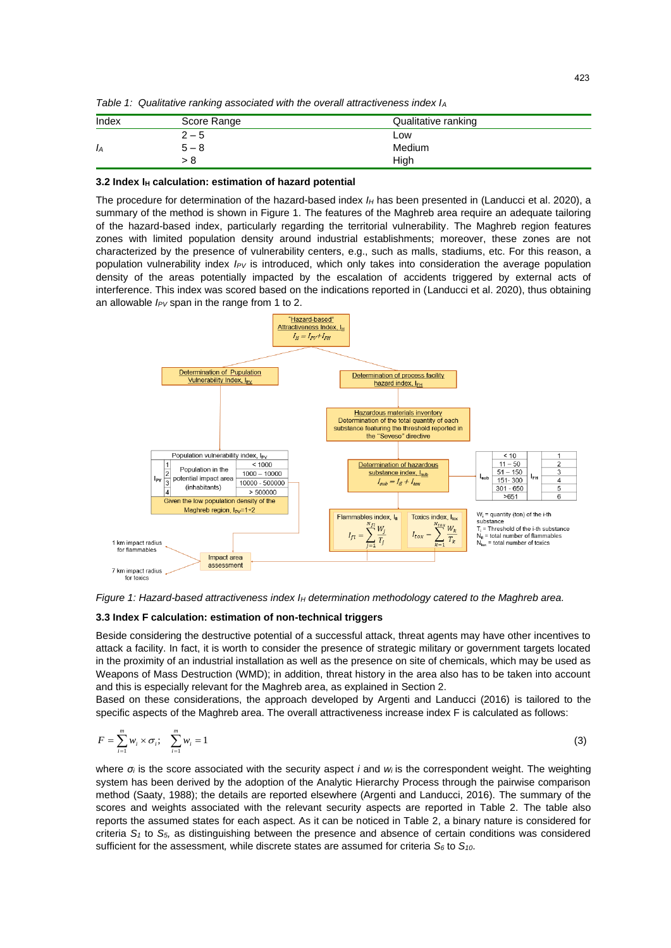*Table 1: Qualitative ranking associated with the overall attractiveness index I<sup>A</sup>*

| Index | Score Range | Qualitative ranking |  |
|-------|-------------|---------------------|--|
|       | $2 - 5$     | Low                 |  |
| Iд    | 5 – 8       | Medium              |  |
|       | - 8         | High                |  |

#### **3.2 Index I<sup>H</sup> calculation: estimation of hazard potential**

The procedure for determination of the hazard-based index *I<sup>H</sup>* has been presented in (Landucci et al. 2020), a summary of the method is shown in Figure 1. The features of the Maghreb area require an adequate tailoring of the hazard-based index, particularly regarding the territorial vulnerability. The Maghreb region features zones with limited population density around industrial establishments; moreover, these zones are not characterized by the presence of vulnerability centers, e.g., such as malls, stadiums, etc. For this reason, a population vulnerability index *IPV* is introduced, which only takes into consideration the average population density of the areas potentially impacted by the escalation of accidents triggered by external acts of interference. This index was scored based on the indications reported in (Landucci et al. 2020), thus obtaining an allowable *IPV* span in the range from 1 to 2.



*Figure 1: Hazard-based attractiveness index I<sup>H</sup> determination methodology catered to the Maghreb area.*

#### **3.3 Index F calculation: estimation of non-technical triggers**

Beside considering the destructive potential of a successful attack, threat agents may have other incentives to attack a facility. In fact, it is worth to consider the presence of strategic military or government targets located in the proximity of an industrial installation as well as the presence on site of chemicals, which may be used as Weapons of Mass Destruction (WMD); in addition, threat history in the area also has to be taken into account and this is especially relevant for the Maghreb area, as explained in Section 2.

Based on these considerations, the approach developed by Argenti and Landucci (2016) is tailored to the specific aspects of the Maghreb area. The overall attractiveness increase index F is calculated as follows:

$$
F = \sum_{i=1}^{m} w_i \times \sigma_i; \quad \sum_{i=1}^{m} w_i = 1 \tag{3}
$$

where *σ<sup>i</sup>* is the score associated with the security aspect *i* and *w<sup>i</sup>* is the correspondent weight. The weighting system has been derived by the adoption of the Analytic Hierarchy Process through the pairwise comparison method (Saaty, 1988); the details are reported elsewhere (Argenti and Landucci, 2016). The summary of the scores and weights associated with the relevant security aspects are reported in Table 2. The table also reports the assumed states for each aspect. As it can be noticed in Table 2, a binary nature is considered for criteria *S<sup>1</sup>* to *S5,* as distinguishing between the presence and absence of certain conditions was considered sufficient for the assessment*,* while discrete states are assumed for criteria *S<sup>6</sup>* to *S10*.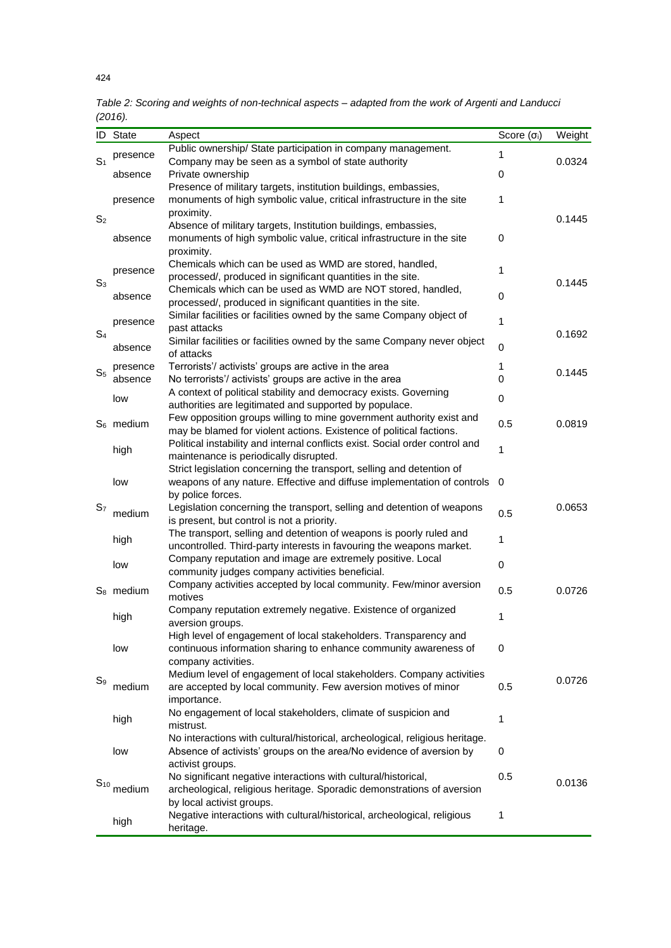| Public ownership/ State participation in company management.<br>1<br>presence<br>S <sub>1</sub><br>Company may be seen as a symbol of state authority<br>0.0324<br>Private ownership<br>0<br>absence<br>Presence of military targets, institution buildings, embassies,<br>monuments of high symbolic value, critical infrastructure in the site<br>1<br>presence<br>proximity.<br>S <sub>2</sub><br>0.1445<br>Absence of military targets, Institution buildings, embassies,<br>monuments of high symbolic value, critical infrastructure in the site<br>0<br>absence<br>proximity.<br>Chemicals which can be used as WMD are stored, handled,<br>1<br>presence<br>processed/, produced in significant quantities in the site.<br>0.1445<br>$S_3$<br>Chemicals which can be used as WMD are NOT stored, handled,<br>0<br>absence<br>processed/, produced in significant quantities in the site.<br>Similar facilities or facilities owned by the same Company object of<br>1<br>presence<br>past attacks<br>S <sub>4</sub><br>0.1692<br>Similar facilities or facilities owned by the same Company never object<br>$\mathbf 0$<br>absence<br>of attacks<br>Terrorists'/activists' groups are active in the area<br>1<br>presence<br>0.1445<br>S <sub>5</sub><br>0<br>absence<br>No terrorists'/ activists' groups are active in the area<br>A context of political stability and democracy exists. Governing<br>0<br>low<br>authorities are legitimated and supported by populace.<br>Few opposition groups willing to mine government authority exist and<br>$S_6$ medium<br>0.5<br>0.0819<br>may be blamed for violent actions. Existence of political factions.<br>Political instability and internal conflicts exist. Social order control and<br>1<br>high<br>maintenance is periodically disrupted.<br>Strict legislation concerning the transport, selling and detention of<br>weapons of any nature. Effective and diffuse implementation of controls<br>0<br>low<br>by police forces.<br>0.0653<br>S <sub>7</sub><br>Legislation concerning the transport, selling and detention of weapons<br>0.5<br>medium<br>is present, but control is not a priority.<br>The transport, selling and detention of weapons is poorly ruled and<br>1<br>high<br>uncontrolled. Third-party interests in favouring the weapons market.<br>Company reputation and image are extremely positive. Local<br>$\mathbf 0$<br>low<br>community judges company activities beneficial.<br>Company activities accepted by local community. Few/minor aversion<br>0.5<br>$S_8$ medium<br>0.0726<br>motives<br>Company reputation extremely negative. Existence of organized<br>1<br>high<br>aversion groups.<br>High level of engagement of local stakeholders. Transparency and<br>continuous information sharing to enhance community awareness of<br>0<br>low<br>company activities.<br>Medium level of engagement of local stakeholders. Company activities<br>0.0726<br>$S_9$<br>medium<br>are accepted by local community. Few aversion motives of minor<br>0.5<br>importance.<br>No engagement of local stakeholders, climate of suspicion and<br>high<br>1<br>mistrust.<br>No interactions with cultural/historical, archeological, religious heritage.<br>Absence of activists' groups on the area/No evidence of aversion by<br>low<br>0<br>activist groups.<br>No significant negative interactions with cultural/historical,<br>0.5<br>0.0136<br>$S_{10}$<br>medium<br>archeological, religious heritage. Sporadic demonstrations of aversion<br>by local activist groups.<br>Negative interactions with cultural/historical, archeological, religious<br>1<br>high | ID | <b>State</b> | Aspect    | Score $(\sigma_i)$ | Weight |
|----------------------------------------------------------------------------------------------------------------------------------------------------------------------------------------------------------------------------------------------------------------------------------------------------------------------------------------------------------------------------------------------------------------------------------------------------------------------------------------------------------------------------------------------------------------------------------------------------------------------------------------------------------------------------------------------------------------------------------------------------------------------------------------------------------------------------------------------------------------------------------------------------------------------------------------------------------------------------------------------------------------------------------------------------------------------------------------------------------------------------------------------------------------------------------------------------------------------------------------------------------------------------------------------------------------------------------------------------------------------------------------------------------------------------------------------------------------------------------------------------------------------------------------------------------------------------------------------------------------------------------------------------------------------------------------------------------------------------------------------------------------------------------------------------------------------------------------------------------------------------------------------------------------------------------------------------------------------------------------------------------------------------------------------------------------------------------------------------------------------------------------------------------------------------------------------------------------------------------------------------------------------------------------------------------------------------------------------------------------------------------------------------------------------------------------------------------------------------------------------------------------------------------------------------------------------------------------------------------------------------------------------------------------------------------------------------------------------------------------------------------------------------------------------------------------------------------------------------------------------------------------------------------------------------------------------------------------------------------------------------------------------------------------------------------------------------------------------------------------------------------------------------------------------------------------------------------------------------------------------------------------------------------------------------------------------------------------------------------------------------------------------------------------------------------------------------------------------------------------------------------------------------------------------------------------------------------------------------------------------------------------------------------------|----|--------------|-----------|--------------------|--------|
|                                                                                                                                                                                                                                                                                                                                                                                                                                                                                                                                                                                                                                                                                                                                                                                                                                                                                                                                                                                                                                                                                                                                                                                                                                                                                                                                                                                                                                                                                                                                                                                                                                                                                                                                                                                                                                                                                                                                                                                                                                                                                                                                                                                                                                                                                                                                                                                                                                                                                                                                                                                                                                                                                                                                                                                                                                                                                                                                                                                                                                                                                                                                                                                                                                                                                                                                                                                                                                                                                                                                                                                                                                                                |    |              |           |                    |        |
|                                                                                                                                                                                                                                                                                                                                                                                                                                                                                                                                                                                                                                                                                                                                                                                                                                                                                                                                                                                                                                                                                                                                                                                                                                                                                                                                                                                                                                                                                                                                                                                                                                                                                                                                                                                                                                                                                                                                                                                                                                                                                                                                                                                                                                                                                                                                                                                                                                                                                                                                                                                                                                                                                                                                                                                                                                                                                                                                                                                                                                                                                                                                                                                                                                                                                                                                                                                                                                                                                                                                                                                                                                                                |    |              |           |                    |        |
|                                                                                                                                                                                                                                                                                                                                                                                                                                                                                                                                                                                                                                                                                                                                                                                                                                                                                                                                                                                                                                                                                                                                                                                                                                                                                                                                                                                                                                                                                                                                                                                                                                                                                                                                                                                                                                                                                                                                                                                                                                                                                                                                                                                                                                                                                                                                                                                                                                                                                                                                                                                                                                                                                                                                                                                                                                                                                                                                                                                                                                                                                                                                                                                                                                                                                                                                                                                                                                                                                                                                                                                                                                                                |    |              |           |                    |        |
|                                                                                                                                                                                                                                                                                                                                                                                                                                                                                                                                                                                                                                                                                                                                                                                                                                                                                                                                                                                                                                                                                                                                                                                                                                                                                                                                                                                                                                                                                                                                                                                                                                                                                                                                                                                                                                                                                                                                                                                                                                                                                                                                                                                                                                                                                                                                                                                                                                                                                                                                                                                                                                                                                                                                                                                                                                                                                                                                                                                                                                                                                                                                                                                                                                                                                                                                                                                                                                                                                                                                                                                                                                                                |    |              |           |                    |        |
|                                                                                                                                                                                                                                                                                                                                                                                                                                                                                                                                                                                                                                                                                                                                                                                                                                                                                                                                                                                                                                                                                                                                                                                                                                                                                                                                                                                                                                                                                                                                                                                                                                                                                                                                                                                                                                                                                                                                                                                                                                                                                                                                                                                                                                                                                                                                                                                                                                                                                                                                                                                                                                                                                                                                                                                                                                                                                                                                                                                                                                                                                                                                                                                                                                                                                                                                                                                                                                                                                                                                                                                                                                                                |    |              |           |                    |        |
|                                                                                                                                                                                                                                                                                                                                                                                                                                                                                                                                                                                                                                                                                                                                                                                                                                                                                                                                                                                                                                                                                                                                                                                                                                                                                                                                                                                                                                                                                                                                                                                                                                                                                                                                                                                                                                                                                                                                                                                                                                                                                                                                                                                                                                                                                                                                                                                                                                                                                                                                                                                                                                                                                                                                                                                                                                                                                                                                                                                                                                                                                                                                                                                                                                                                                                                                                                                                                                                                                                                                                                                                                                                                |    |              |           |                    |        |
|                                                                                                                                                                                                                                                                                                                                                                                                                                                                                                                                                                                                                                                                                                                                                                                                                                                                                                                                                                                                                                                                                                                                                                                                                                                                                                                                                                                                                                                                                                                                                                                                                                                                                                                                                                                                                                                                                                                                                                                                                                                                                                                                                                                                                                                                                                                                                                                                                                                                                                                                                                                                                                                                                                                                                                                                                                                                                                                                                                                                                                                                                                                                                                                                                                                                                                                                                                                                                                                                                                                                                                                                                                                                |    |              |           |                    |        |
|                                                                                                                                                                                                                                                                                                                                                                                                                                                                                                                                                                                                                                                                                                                                                                                                                                                                                                                                                                                                                                                                                                                                                                                                                                                                                                                                                                                                                                                                                                                                                                                                                                                                                                                                                                                                                                                                                                                                                                                                                                                                                                                                                                                                                                                                                                                                                                                                                                                                                                                                                                                                                                                                                                                                                                                                                                                                                                                                                                                                                                                                                                                                                                                                                                                                                                                                                                                                                                                                                                                                                                                                                                                                |    |              |           |                    |        |
|                                                                                                                                                                                                                                                                                                                                                                                                                                                                                                                                                                                                                                                                                                                                                                                                                                                                                                                                                                                                                                                                                                                                                                                                                                                                                                                                                                                                                                                                                                                                                                                                                                                                                                                                                                                                                                                                                                                                                                                                                                                                                                                                                                                                                                                                                                                                                                                                                                                                                                                                                                                                                                                                                                                                                                                                                                                                                                                                                                                                                                                                                                                                                                                                                                                                                                                                                                                                                                                                                                                                                                                                                                                                |    |              |           |                    |        |
|                                                                                                                                                                                                                                                                                                                                                                                                                                                                                                                                                                                                                                                                                                                                                                                                                                                                                                                                                                                                                                                                                                                                                                                                                                                                                                                                                                                                                                                                                                                                                                                                                                                                                                                                                                                                                                                                                                                                                                                                                                                                                                                                                                                                                                                                                                                                                                                                                                                                                                                                                                                                                                                                                                                                                                                                                                                                                                                                                                                                                                                                                                                                                                                                                                                                                                                                                                                                                                                                                                                                                                                                                                                                |    |              |           |                    |        |
|                                                                                                                                                                                                                                                                                                                                                                                                                                                                                                                                                                                                                                                                                                                                                                                                                                                                                                                                                                                                                                                                                                                                                                                                                                                                                                                                                                                                                                                                                                                                                                                                                                                                                                                                                                                                                                                                                                                                                                                                                                                                                                                                                                                                                                                                                                                                                                                                                                                                                                                                                                                                                                                                                                                                                                                                                                                                                                                                                                                                                                                                                                                                                                                                                                                                                                                                                                                                                                                                                                                                                                                                                                                                |    |              |           |                    |        |
|                                                                                                                                                                                                                                                                                                                                                                                                                                                                                                                                                                                                                                                                                                                                                                                                                                                                                                                                                                                                                                                                                                                                                                                                                                                                                                                                                                                                                                                                                                                                                                                                                                                                                                                                                                                                                                                                                                                                                                                                                                                                                                                                                                                                                                                                                                                                                                                                                                                                                                                                                                                                                                                                                                                                                                                                                                                                                                                                                                                                                                                                                                                                                                                                                                                                                                                                                                                                                                                                                                                                                                                                                                                                |    |              |           |                    |        |
|                                                                                                                                                                                                                                                                                                                                                                                                                                                                                                                                                                                                                                                                                                                                                                                                                                                                                                                                                                                                                                                                                                                                                                                                                                                                                                                                                                                                                                                                                                                                                                                                                                                                                                                                                                                                                                                                                                                                                                                                                                                                                                                                                                                                                                                                                                                                                                                                                                                                                                                                                                                                                                                                                                                                                                                                                                                                                                                                                                                                                                                                                                                                                                                                                                                                                                                                                                                                                                                                                                                                                                                                                                                                |    |              |           |                    |        |
|                                                                                                                                                                                                                                                                                                                                                                                                                                                                                                                                                                                                                                                                                                                                                                                                                                                                                                                                                                                                                                                                                                                                                                                                                                                                                                                                                                                                                                                                                                                                                                                                                                                                                                                                                                                                                                                                                                                                                                                                                                                                                                                                                                                                                                                                                                                                                                                                                                                                                                                                                                                                                                                                                                                                                                                                                                                                                                                                                                                                                                                                                                                                                                                                                                                                                                                                                                                                                                                                                                                                                                                                                                                                |    |              |           |                    |        |
|                                                                                                                                                                                                                                                                                                                                                                                                                                                                                                                                                                                                                                                                                                                                                                                                                                                                                                                                                                                                                                                                                                                                                                                                                                                                                                                                                                                                                                                                                                                                                                                                                                                                                                                                                                                                                                                                                                                                                                                                                                                                                                                                                                                                                                                                                                                                                                                                                                                                                                                                                                                                                                                                                                                                                                                                                                                                                                                                                                                                                                                                                                                                                                                                                                                                                                                                                                                                                                                                                                                                                                                                                                                                |    |              |           |                    |        |
|                                                                                                                                                                                                                                                                                                                                                                                                                                                                                                                                                                                                                                                                                                                                                                                                                                                                                                                                                                                                                                                                                                                                                                                                                                                                                                                                                                                                                                                                                                                                                                                                                                                                                                                                                                                                                                                                                                                                                                                                                                                                                                                                                                                                                                                                                                                                                                                                                                                                                                                                                                                                                                                                                                                                                                                                                                                                                                                                                                                                                                                                                                                                                                                                                                                                                                                                                                                                                                                                                                                                                                                                                                                                |    |              |           |                    |        |
|                                                                                                                                                                                                                                                                                                                                                                                                                                                                                                                                                                                                                                                                                                                                                                                                                                                                                                                                                                                                                                                                                                                                                                                                                                                                                                                                                                                                                                                                                                                                                                                                                                                                                                                                                                                                                                                                                                                                                                                                                                                                                                                                                                                                                                                                                                                                                                                                                                                                                                                                                                                                                                                                                                                                                                                                                                                                                                                                                                                                                                                                                                                                                                                                                                                                                                                                                                                                                                                                                                                                                                                                                                                                |    |              |           |                    |        |
|                                                                                                                                                                                                                                                                                                                                                                                                                                                                                                                                                                                                                                                                                                                                                                                                                                                                                                                                                                                                                                                                                                                                                                                                                                                                                                                                                                                                                                                                                                                                                                                                                                                                                                                                                                                                                                                                                                                                                                                                                                                                                                                                                                                                                                                                                                                                                                                                                                                                                                                                                                                                                                                                                                                                                                                                                                                                                                                                                                                                                                                                                                                                                                                                                                                                                                                                                                                                                                                                                                                                                                                                                                                                |    |              |           |                    |        |
|                                                                                                                                                                                                                                                                                                                                                                                                                                                                                                                                                                                                                                                                                                                                                                                                                                                                                                                                                                                                                                                                                                                                                                                                                                                                                                                                                                                                                                                                                                                                                                                                                                                                                                                                                                                                                                                                                                                                                                                                                                                                                                                                                                                                                                                                                                                                                                                                                                                                                                                                                                                                                                                                                                                                                                                                                                                                                                                                                                                                                                                                                                                                                                                                                                                                                                                                                                                                                                                                                                                                                                                                                                                                |    |              |           |                    |        |
|                                                                                                                                                                                                                                                                                                                                                                                                                                                                                                                                                                                                                                                                                                                                                                                                                                                                                                                                                                                                                                                                                                                                                                                                                                                                                                                                                                                                                                                                                                                                                                                                                                                                                                                                                                                                                                                                                                                                                                                                                                                                                                                                                                                                                                                                                                                                                                                                                                                                                                                                                                                                                                                                                                                                                                                                                                                                                                                                                                                                                                                                                                                                                                                                                                                                                                                                                                                                                                                                                                                                                                                                                                                                |    |              |           |                    |        |
|                                                                                                                                                                                                                                                                                                                                                                                                                                                                                                                                                                                                                                                                                                                                                                                                                                                                                                                                                                                                                                                                                                                                                                                                                                                                                                                                                                                                                                                                                                                                                                                                                                                                                                                                                                                                                                                                                                                                                                                                                                                                                                                                                                                                                                                                                                                                                                                                                                                                                                                                                                                                                                                                                                                                                                                                                                                                                                                                                                                                                                                                                                                                                                                                                                                                                                                                                                                                                                                                                                                                                                                                                                                                |    |              |           |                    |        |
|                                                                                                                                                                                                                                                                                                                                                                                                                                                                                                                                                                                                                                                                                                                                                                                                                                                                                                                                                                                                                                                                                                                                                                                                                                                                                                                                                                                                                                                                                                                                                                                                                                                                                                                                                                                                                                                                                                                                                                                                                                                                                                                                                                                                                                                                                                                                                                                                                                                                                                                                                                                                                                                                                                                                                                                                                                                                                                                                                                                                                                                                                                                                                                                                                                                                                                                                                                                                                                                                                                                                                                                                                                                                |    |              |           |                    |        |
|                                                                                                                                                                                                                                                                                                                                                                                                                                                                                                                                                                                                                                                                                                                                                                                                                                                                                                                                                                                                                                                                                                                                                                                                                                                                                                                                                                                                                                                                                                                                                                                                                                                                                                                                                                                                                                                                                                                                                                                                                                                                                                                                                                                                                                                                                                                                                                                                                                                                                                                                                                                                                                                                                                                                                                                                                                                                                                                                                                                                                                                                                                                                                                                                                                                                                                                                                                                                                                                                                                                                                                                                                                                                |    |              |           |                    |        |
|                                                                                                                                                                                                                                                                                                                                                                                                                                                                                                                                                                                                                                                                                                                                                                                                                                                                                                                                                                                                                                                                                                                                                                                                                                                                                                                                                                                                                                                                                                                                                                                                                                                                                                                                                                                                                                                                                                                                                                                                                                                                                                                                                                                                                                                                                                                                                                                                                                                                                                                                                                                                                                                                                                                                                                                                                                                                                                                                                                                                                                                                                                                                                                                                                                                                                                                                                                                                                                                                                                                                                                                                                                                                |    |              |           |                    |        |
|                                                                                                                                                                                                                                                                                                                                                                                                                                                                                                                                                                                                                                                                                                                                                                                                                                                                                                                                                                                                                                                                                                                                                                                                                                                                                                                                                                                                                                                                                                                                                                                                                                                                                                                                                                                                                                                                                                                                                                                                                                                                                                                                                                                                                                                                                                                                                                                                                                                                                                                                                                                                                                                                                                                                                                                                                                                                                                                                                                                                                                                                                                                                                                                                                                                                                                                                                                                                                                                                                                                                                                                                                                                                |    |              |           |                    |        |
|                                                                                                                                                                                                                                                                                                                                                                                                                                                                                                                                                                                                                                                                                                                                                                                                                                                                                                                                                                                                                                                                                                                                                                                                                                                                                                                                                                                                                                                                                                                                                                                                                                                                                                                                                                                                                                                                                                                                                                                                                                                                                                                                                                                                                                                                                                                                                                                                                                                                                                                                                                                                                                                                                                                                                                                                                                                                                                                                                                                                                                                                                                                                                                                                                                                                                                                                                                                                                                                                                                                                                                                                                                                                |    |              |           |                    |        |
|                                                                                                                                                                                                                                                                                                                                                                                                                                                                                                                                                                                                                                                                                                                                                                                                                                                                                                                                                                                                                                                                                                                                                                                                                                                                                                                                                                                                                                                                                                                                                                                                                                                                                                                                                                                                                                                                                                                                                                                                                                                                                                                                                                                                                                                                                                                                                                                                                                                                                                                                                                                                                                                                                                                                                                                                                                                                                                                                                                                                                                                                                                                                                                                                                                                                                                                                                                                                                                                                                                                                                                                                                                                                |    |              |           |                    |        |
|                                                                                                                                                                                                                                                                                                                                                                                                                                                                                                                                                                                                                                                                                                                                                                                                                                                                                                                                                                                                                                                                                                                                                                                                                                                                                                                                                                                                                                                                                                                                                                                                                                                                                                                                                                                                                                                                                                                                                                                                                                                                                                                                                                                                                                                                                                                                                                                                                                                                                                                                                                                                                                                                                                                                                                                                                                                                                                                                                                                                                                                                                                                                                                                                                                                                                                                                                                                                                                                                                                                                                                                                                                                                |    |              |           |                    |        |
|                                                                                                                                                                                                                                                                                                                                                                                                                                                                                                                                                                                                                                                                                                                                                                                                                                                                                                                                                                                                                                                                                                                                                                                                                                                                                                                                                                                                                                                                                                                                                                                                                                                                                                                                                                                                                                                                                                                                                                                                                                                                                                                                                                                                                                                                                                                                                                                                                                                                                                                                                                                                                                                                                                                                                                                                                                                                                                                                                                                                                                                                                                                                                                                                                                                                                                                                                                                                                                                                                                                                                                                                                                                                |    |              |           |                    |        |
|                                                                                                                                                                                                                                                                                                                                                                                                                                                                                                                                                                                                                                                                                                                                                                                                                                                                                                                                                                                                                                                                                                                                                                                                                                                                                                                                                                                                                                                                                                                                                                                                                                                                                                                                                                                                                                                                                                                                                                                                                                                                                                                                                                                                                                                                                                                                                                                                                                                                                                                                                                                                                                                                                                                                                                                                                                                                                                                                                                                                                                                                                                                                                                                                                                                                                                                                                                                                                                                                                                                                                                                                                                                                |    |              |           |                    |        |
|                                                                                                                                                                                                                                                                                                                                                                                                                                                                                                                                                                                                                                                                                                                                                                                                                                                                                                                                                                                                                                                                                                                                                                                                                                                                                                                                                                                                                                                                                                                                                                                                                                                                                                                                                                                                                                                                                                                                                                                                                                                                                                                                                                                                                                                                                                                                                                                                                                                                                                                                                                                                                                                                                                                                                                                                                                                                                                                                                                                                                                                                                                                                                                                                                                                                                                                                                                                                                                                                                                                                                                                                                                                                |    |              |           |                    |        |
|                                                                                                                                                                                                                                                                                                                                                                                                                                                                                                                                                                                                                                                                                                                                                                                                                                                                                                                                                                                                                                                                                                                                                                                                                                                                                                                                                                                                                                                                                                                                                                                                                                                                                                                                                                                                                                                                                                                                                                                                                                                                                                                                                                                                                                                                                                                                                                                                                                                                                                                                                                                                                                                                                                                                                                                                                                                                                                                                                                                                                                                                                                                                                                                                                                                                                                                                                                                                                                                                                                                                                                                                                                                                |    |              |           |                    |        |
|                                                                                                                                                                                                                                                                                                                                                                                                                                                                                                                                                                                                                                                                                                                                                                                                                                                                                                                                                                                                                                                                                                                                                                                                                                                                                                                                                                                                                                                                                                                                                                                                                                                                                                                                                                                                                                                                                                                                                                                                                                                                                                                                                                                                                                                                                                                                                                                                                                                                                                                                                                                                                                                                                                                                                                                                                                                                                                                                                                                                                                                                                                                                                                                                                                                                                                                                                                                                                                                                                                                                                                                                                                                                |    |              |           |                    |        |
|                                                                                                                                                                                                                                                                                                                                                                                                                                                                                                                                                                                                                                                                                                                                                                                                                                                                                                                                                                                                                                                                                                                                                                                                                                                                                                                                                                                                                                                                                                                                                                                                                                                                                                                                                                                                                                                                                                                                                                                                                                                                                                                                                                                                                                                                                                                                                                                                                                                                                                                                                                                                                                                                                                                                                                                                                                                                                                                                                                                                                                                                                                                                                                                                                                                                                                                                                                                                                                                                                                                                                                                                                                                                |    |              |           |                    |        |
|                                                                                                                                                                                                                                                                                                                                                                                                                                                                                                                                                                                                                                                                                                                                                                                                                                                                                                                                                                                                                                                                                                                                                                                                                                                                                                                                                                                                                                                                                                                                                                                                                                                                                                                                                                                                                                                                                                                                                                                                                                                                                                                                                                                                                                                                                                                                                                                                                                                                                                                                                                                                                                                                                                                                                                                                                                                                                                                                                                                                                                                                                                                                                                                                                                                                                                                                                                                                                                                                                                                                                                                                                                                                |    |              |           |                    |        |
|                                                                                                                                                                                                                                                                                                                                                                                                                                                                                                                                                                                                                                                                                                                                                                                                                                                                                                                                                                                                                                                                                                                                                                                                                                                                                                                                                                                                                                                                                                                                                                                                                                                                                                                                                                                                                                                                                                                                                                                                                                                                                                                                                                                                                                                                                                                                                                                                                                                                                                                                                                                                                                                                                                                                                                                                                                                                                                                                                                                                                                                                                                                                                                                                                                                                                                                                                                                                                                                                                                                                                                                                                                                                |    |              |           |                    |        |
|                                                                                                                                                                                                                                                                                                                                                                                                                                                                                                                                                                                                                                                                                                                                                                                                                                                                                                                                                                                                                                                                                                                                                                                                                                                                                                                                                                                                                                                                                                                                                                                                                                                                                                                                                                                                                                                                                                                                                                                                                                                                                                                                                                                                                                                                                                                                                                                                                                                                                                                                                                                                                                                                                                                                                                                                                                                                                                                                                                                                                                                                                                                                                                                                                                                                                                                                                                                                                                                                                                                                                                                                                                                                |    |              |           |                    |        |
|                                                                                                                                                                                                                                                                                                                                                                                                                                                                                                                                                                                                                                                                                                                                                                                                                                                                                                                                                                                                                                                                                                                                                                                                                                                                                                                                                                                                                                                                                                                                                                                                                                                                                                                                                                                                                                                                                                                                                                                                                                                                                                                                                                                                                                                                                                                                                                                                                                                                                                                                                                                                                                                                                                                                                                                                                                                                                                                                                                                                                                                                                                                                                                                                                                                                                                                                                                                                                                                                                                                                                                                                                                                                |    |              |           |                    |        |
|                                                                                                                                                                                                                                                                                                                                                                                                                                                                                                                                                                                                                                                                                                                                                                                                                                                                                                                                                                                                                                                                                                                                                                                                                                                                                                                                                                                                                                                                                                                                                                                                                                                                                                                                                                                                                                                                                                                                                                                                                                                                                                                                                                                                                                                                                                                                                                                                                                                                                                                                                                                                                                                                                                                                                                                                                                                                                                                                                                                                                                                                                                                                                                                                                                                                                                                                                                                                                                                                                                                                                                                                                                                                |    |              |           |                    |        |
|                                                                                                                                                                                                                                                                                                                                                                                                                                                                                                                                                                                                                                                                                                                                                                                                                                                                                                                                                                                                                                                                                                                                                                                                                                                                                                                                                                                                                                                                                                                                                                                                                                                                                                                                                                                                                                                                                                                                                                                                                                                                                                                                                                                                                                                                                                                                                                                                                                                                                                                                                                                                                                                                                                                                                                                                                                                                                                                                                                                                                                                                                                                                                                                                                                                                                                                                                                                                                                                                                                                                                                                                                                                                |    |              |           |                    |        |
|                                                                                                                                                                                                                                                                                                                                                                                                                                                                                                                                                                                                                                                                                                                                                                                                                                                                                                                                                                                                                                                                                                                                                                                                                                                                                                                                                                                                                                                                                                                                                                                                                                                                                                                                                                                                                                                                                                                                                                                                                                                                                                                                                                                                                                                                                                                                                                                                                                                                                                                                                                                                                                                                                                                                                                                                                                                                                                                                                                                                                                                                                                                                                                                                                                                                                                                                                                                                                                                                                                                                                                                                                                                                |    |              |           |                    |        |
|                                                                                                                                                                                                                                                                                                                                                                                                                                                                                                                                                                                                                                                                                                                                                                                                                                                                                                                                                                                                                                                                                                                                                                                                                                                                                                                                                                                                                                                                                                                                                                                                                                                                                                                                                                                                                                                                                                                                                                                                                                                                                                                                                                                                                                                                                                                                                                                                                                                                                                                                                                                                                                                                                                                                                                                                                                                                                                                                                                                                                                                                                                                                                                                                                                                                                                                                                                                                                                                                                                                                                                                                                                                                |    |              |           |                    |        |
|                                                                                                                                                                                                                                                                                                                                                                                                                                                                                                                                                                                                                                                                                                                                                                                                                                                                                                                                                                                                                                                                                                                                                                                                                                                                                                                                                                                                                                                                                                                                                                                                                                                                                                                                                                                                                                                                                                                                                                                                                                                                                                                                                                                                                                                                                                                                                                                                                                                                                                                                                                                                                                                                                                                                                                                                                                                                                                                                                                                                                                                                                                                                                                                                                                                                                                                                                                                                                                                                                                                                                                                                                                                                |    |              |           |                    |        |
|                                                                                                                                                                                                                                                                                                                                                                                                                                                                                                                                                                                                                                                                                                                                                                                                                                                                                                                                                                                                                                                                                                                                                                                                                                                                                                                                                                                                                                                                                                                                                                                                                                                                                                                                                                                                                                                                                                                                                                                                                                                                                                                                                                                                                                                                                                                                                                                                                                                                                                                                                                                                                                                                                                                                                                                                                                                                                                                                                                                                                                                                                                                                                                                                                                                                                                                                                                                                                                                                                                                                                                                                                                                                |    |              |           |                    |        |
|                                                                                                                                                                                                                                                                                                                                                                                                                                                                                                                                                                                                                                                                                                                                                                                                                                                                                                                                                                                                                                                                                                                                                                                                                                                                                                                                                                                                                                                                                                                                                                                                                                                                                                                                                                                                                                                                                                                                                                                                                                                                                                                                                                                                                                                                                                                                                                                                                                                                                                                                                                                                                                                                                                                                                                                                                                                                                                                                                                                                                                                                                                                                                                                                                                                                                                                                                                                                                                                                                                                                                                                                                                                                |    |              |           |                    |        |
|                                                                                                                                                                                                                                                                                                                                                                                                                                                                                                                                                                                                                                                                                                                                                                                                                                                                                                                                                                                                                                                                                                                                                                                                                                                                                                                                                                                                                                                                                                                                                                                                                                                                                                                                                                                                                                                                                                                                                                                                                                                                                                                                                                                                                                                                                                                                                                                                                                                                                                                                                                                                                                                                                                                                                                                                                                                                                                                                                                                                                                                                                                                                                                                                                                                                                                                                                                                                                                                                                                                                                                                                                                                                |    |              |           |                    |        |
|                                                                                                                                                                                                                                                                                                                                                                                                                                                                                                                                                                                                                                                                                                                                                                                                                                                                                                                                                                                                                                                                                                                                                                                                                                                                                                                                                                                                                                                                                                                                                                                                                                                                                                                                                                                                                                                                                                                                                                                                                                                                                                                                                                                                                                                                                                                                                                                                                                                                                                                                                                                                                                                                                                                                                                                                                                                                                                                                                                                                                                                                                                                                                                                                                                                                                                                                                                                                                                                                                                                                                                                                                                                                |    |              |           |                    |        |
|                                                                                                                                                                                                                                                                                                                                                                                                                                                                                                                                                                                                                                                                                                                                                                                                                                                                                                                                                                                                                                                                                                                                                                                                                                                                                                                                                                                                                                                                                                                                                                                                                                                                                                                                                                                                                                                                                                                                                                                                                                                                                                                                                                                                                                                                                                                                                                                                                                                                                                                                                                                                                                                                                                                                                                                                                                                                                                                                                                                                                                                                                                                                                                                                                                                                                                                                                                                                                                                                                                                                                                                                                                                                |    |              |           |                    |        |
|                                                                                                                                                                                                                                                                                                                                                                                                                                                                                                                                                                                                                                                                                                                                                                                                                                                                                                                                                                                                                                                                                                                                                                                                                                                                                                                                                                                                                                                                                                                                                                                                                                                                                                                                                                                                                                                                                                                                                                                                                                                                                                                                                                                                                                                                                                                                                                                                                                                                                                                                                                                                                                                                                                                                                                                                                                                                                                                                                                                                                                                                                                                                                                                                                                                                                                                                                                                                                                                                                                                                                                                                                                                                |    |              |           |                    |        |
|                                                                                                                                                                                                                                                                                                                                                                                                                                                                                                                                                                                                                                                                                                                                                                                                                                                                                                                                                                                                                                                                                                                                                                                                                                                                                                                                                                                                                                                                                                                                                                                                                                                                                                                                                                                                                                                                                                                                                                                                                                                                                                                                                                                                                                                                                                                                                                                                                                                                                                                                                                                                                                                                                                                                                                                                                                                                                                                                                                                                                                                                                                                                                                                                                                                                                                                                                                                                                                                                                                                                                                                                                                                                |    |              | heritage. |                    |        |

*Table 2: Scoring and weights of non-technical aspects – adapted from the work of Argenti and Landucci (2016).*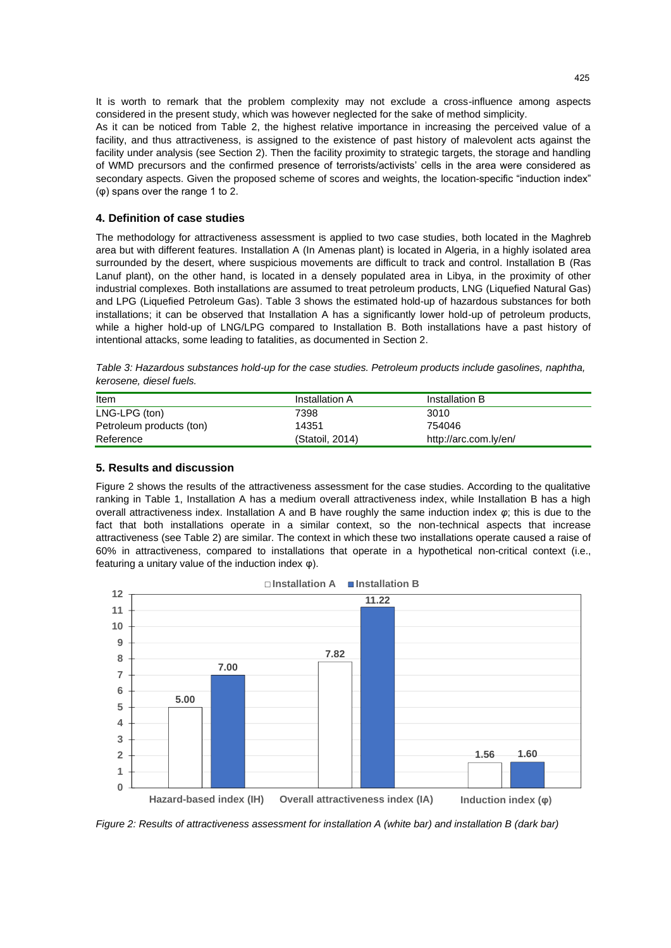It is worth to remark that the problem complexity may not exclude a cross-influence among aspects considered in the present study, which was however neglected for the sake of method simplicity. As it can be noticed from Table 2, the highest relative importance in increasing the perceived value of a facility, and thus attractiveness, is assigned to the existence of past history of malevolent acts against the facility under analysis (see Section 2). Then the facility proximity to strategic targets, the storage and handling of WMD precursors and the confirmed presence of terrorists/activists' cells in the area were considered as secondary aspects. Given the proposed scheme of scores and weights, the location-specific "induction index" (φ) spans over the range 1 to 2.

### **4. Definition of case studies**

The methodology for attractiveness assessment is applied to two case studies, both located in the Maghreb area but with different features. Installation A (In Amenas plant) is located in Algeria, in a highly isolated area surrounded by the desert, where suspicious movements are difficult to track and control. Installation B (Ras Lanuf plant), on the other hand, is located in a densely populated area in Libya, in the proximity of other industrial complexes. Both installations are assumed to treat petroleum products, LNG (Liquefied Natural Gas) and LPG (Liquefied Petroleum Gas). Table 3 shows the estimated hold-up of hazardous substances for both installations; it can be observed that Installation A has a significantly lower hold-up of petroleum products, while a higher hold-up of LNG/LPG compared to Installation B. Both installations have a past history of intentional attacks, some leading to fatalities, as documented in Section 2.

| Table 3: Hazardous substances hold-up for the case studies. Petroleum products include gasolines, naphtha, |  |  |  |
|------------------------------------------------------------------------------------------------------------|--|--|--|
| kerosene, diesel fuels.                                                                                    |  |  |  |

| Item                     | Installation A  | Installation B        |
|--------------------------|-----------------|-----------------------|
| LNG-LPG (ton)            | 7398            | 3010                  |
| Petroleum products (ton) | 14351           | 754046                |
| Reference                | (Statoil, 2014) | http://arc.com.ly/en/ |

## **5. Results and discussion**

Figure 2 shows the results of the attractiveness assessment for the case studies. According to the qualitative ranking in Table 1, Installation A has a medium overall attractiveness index, while Installation B has a high overall attractiveness index. Installation A and B have roughly the same induction index *φ*; this is due to the fact that both installations operate in a similar context, so the non-technical aspects that increase attractiveness (see Table 2) are similar. The context in which these two installations operate caused a raise of 60% in attractiveness, compared to installations that operate in a hypothetical non-critical context (i.e., featuring a unitary value of the induction index φ).



**Installation A Installation B**

*Figure 2: Results of attractiveness assessment for installation A (white bar) and installation B (dark bar)*